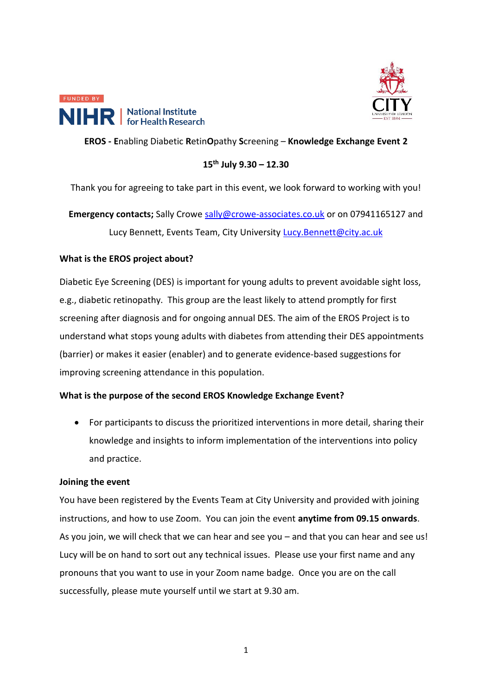



# **EROS - E**nabling Diabetic **R**etin**O**pathy **S**creening – **Knowledge Exchange Event 2**

### **15th July 9.30 – 12.30**

Thank you for agreeing to take part in this event, we look forward to working with you!

**Emergency contacts;** Sally Crowe [sally@crowe-associates.co.uk](mailto:sally@crowe-associates.co.uk) or on 07941165127 and Lucy Bennett, Events Team, City University [Lucy.Bennett@city.ac.uk](mailto:Lucy.Bennett@city.ac.uk)

# **What is the EROS project about?**

Diabetic Eye Screening (DES) is important for young adults to prevent avoidable sight loss, e.g., diabetic retinopathy. This group are the least likely to attend promptly for first screening after diagnosis and for ongoing annual DES. The aim of the EROS Project is to understand what stops young adults with diabetes from attending their DES appointments (barrier) or makes it easier (enabler) and to generate evidence-based suggestions for improving screening attendance in this population.

### **What is the purpose of the second EROS Knowledge Exchange Event?**

• For participants to discuss the prioritized interventions in more detail, sharing their knowledge and insights to inform implementation of the interventions into policy and practice.

### **Joining the event**

You have been registered by the Events Team at City University and provided with joining instructions, and how to use Zoom. You can join the event **anytime from 09.15 onwards**. As you join, we will check that we can hear and see you – and that you can hear and see us! Lucy will be on hand to sort out any technical issues. Please use your first name and any pronouns that you want to use in your Zoom name badge. Once you are on the call successfully, please mute yourself until we start at 9.30 am.

1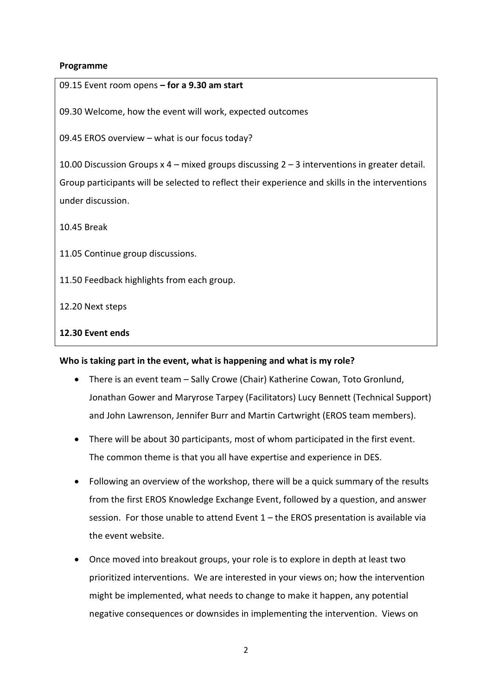### **Programme**

| 09.15 Event room opens - for a 9.30 am start                                                     |  |  |
|--------------------------------------------------------------------------------------------------|--|--|
| 09.30 Welcome, how the event will work, expected outcomes                                        |  |  |
| 09.45 EROS overview - what is our focus today?                                                   |  |  |
| 10.00 Discussion Groups $x$ 4 – mixed groups discussing $2 - 3$ interventions in greater detail. |  |  |
| Group participants will be selected to reflect their experience and skills in the interventions  |  |  |
| under discussion.                                                                                |  |  |
| 10.45 Break                                                                                      |  |  |
| 11.05 Continue group discussions.                                                                |  |  |
| 11.50 Feedback highlights from each group.                                                       |  |  |
| 12.20 Next steps                                                                                 |  |  |
| 12.30 Event ends                                                                                 |  |  |
| Who is taking part in the event, what is happening and what is my role?                          |  |  |
| There is an event team - Sally Crowe (Chair) Katherine Cowan, Toto Gronlund,                     |  |  |

- Jonathan Gower and Maryrose Tarpey (Facilitators) Lucy Bennett (Technical Support) and John Lawrenson, Jennifer Burr and Martin Cartwright (EROS team members).
- There will be about 30 participants, most of whom participated in the first event. The common theme is that you all have expertise and experience in DES.
- Following an overview of the workshop, there will be a quick summary of the results from the first EROS Knowledge Exchange Event, followed by a question, and answer session. For those unable to attend Event 1 – the EROS presentation is available via the event website.
- Once moved into breakout groups, your role is to explore in depth at least two prioritized interventions. We are interested in your views on; how the intervention might be implemented, what needs to change to make it happen, any potential negative consequences or downsides in implementing the intervention. Views on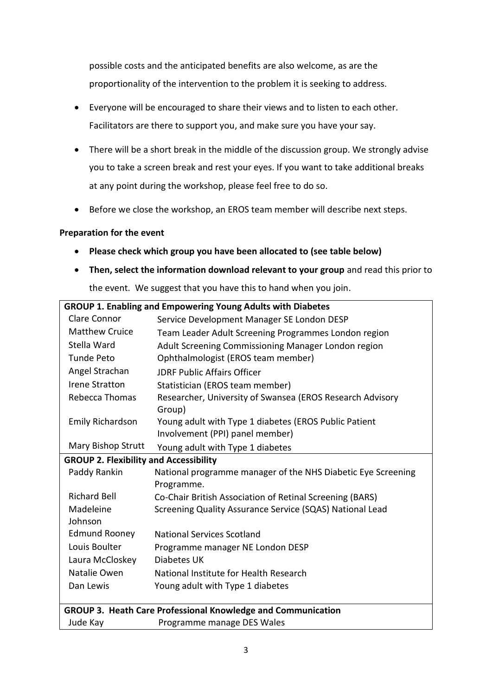possible costs and the anticipated benefits are also welcome, as are the proportionality of the intervention to the problem it is seeking to address.

- Everyone will be encouraged to share their views and to listen to each other. Facilitators are there to support you, and make sure you have your say.
- There will be a short break in the middle of the discussion group. We strongly advise you to take a screen break and rest your eyes. If you want to take additional breaks at any point during the workshop, please feel free to do so.
- Before we close the workshop, an EROS team member will describe next steps.

# **Preparation for the event**

- **Please check which group you have been allocated to (see table below)**
- **Then, select the information download relevant to your group** and read this prior to

the event. We suggest that you have this to hand when you join.

| <b>GROUP 1. Enabling and Empowering Young Adults with Diabetes</b> |                                                                            |  |
|--------------------------------------------------------------------|----------------------------------------------------------------------------|--|
| Clare Connor                                                       | Service Development Manager SE London DESP                                 |  |
| <b>Matthew Cruice</b>                                              | Team Leader Adult Screening Programmes London region                       |  |
| Stella Ward                                                        | Adult Screening Commissioning Manager London region                        |  |
| <b>Tunde Peto</b>                                                  | Ophthalmologist (EROS team member)                                         |  |
| Angel Strachan                                                     | <b>JDRF Public Affairs Officer</b>                                         |  |
| <b>Irene Stratton</b>                                              | Statistician (EROS team member)                                            |  |
| Rebecca Thomas                                                     | Researcher, University of Swansea (EROS Research Advisory<br>Group)        |  |
| <b>Emily Richardson</b>                                            | Young adult with Type 1 diabetes (EROS Public Patient                      |  |
|                                                                    | Involvement (PPI) panel member)                                            |  |
| Mary Bishop Strutt                                                 | Young adult with Type 1 diabetes                                           |  |
| <b>GROUP 2. Flexibility and Accessibility</b>                      |                                                                            |  |
| Paddy Rankin                                                       | National programme manager of the NHS Diabetic Eye Screening<br>Programme. |  |
| <b>Richard Bell</b>                                                | Co-Chair British Association of Retinal Screening (BARS)                   |  |
| Madeleine<br>Johnson                                               | Screening Quality Assurance Service (SQAS) National Lead                   |  |
| <b>Edmund Rooney</b>                                               | <b>National Services Scotland</b>                                          |  |
| Louis Boulter                                                      | Programme manager NE London DESP                                           |  |
| Laura McCloskey                                                    | Diabetes UK                                                                |  |
| Natalie Owen                                                       | National Institute for Health Research                                     |  |
| Dan Lewis                                                          | Young adult with Type 1 diabetes                                           |  |
|                                                                    |                                                                            |  |
| GROUP 3. Heath Care Professional Knowledge and Communication       |                                                                            |  |
| Jude Kay                                                           | Programme manage DES Wales                                                 |  |